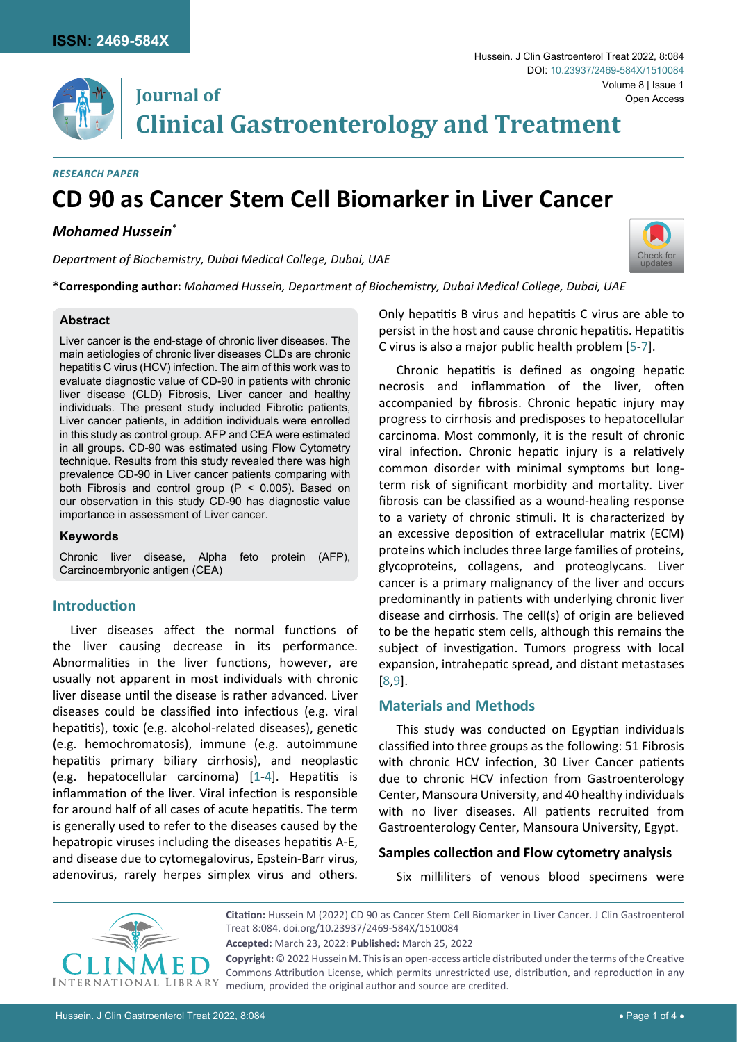

**Clinical Gastroenterology and Treatment**

#### *Research Paper*

# **CD 90 as Cancer Stem Cell Biomarker in Liver Cancer**

#### *Mohamed Hussein\**

*Department of Biochemistry, Dubai Medical College, Dubai, UAE*

**Journal of**



**\*Corresponding author:** *Mohamed Hussein, Department of Biochemistry, Dubai Medical College, Dubai, UAE*

#### **Abstract**

Liver cancer is the end-stage of chronic liver diseases. The main aetiologies of chronic liver diseases CLDs are chronic hepatitis C virus (HCV) infection. The aim of this work was to evaluate diagnostic value of CD-90 in patients with chronic liver disease (CLD) Fibrosis, Liver cancer and healthy individuals. The present study included Fibrotic patients, Liver cancer patients, in addition individuals were enrolled in this study as control group. AFP and CEA were estimated in all groups. CD-90 was estimated using Flow Cytometry technique. Results from this study revealed there was high prevalence CD-90 in Liver cancer patients comparing with both Fibrosis and control group (P < 0.005). Based on our observation in this study CD-90 has diagnostic value importance in assessment of Liver cancer.

#### **Keywords**

Chronic liver disease, Alpha feto protein (AFP), Carcinoembryonic antigen (CEA)

## **Introduction**

Liver diseases affect the normal functions of the liver causing decrease in its performance. Abnormalities in the liver functions, however, are usually not apparent in most individuals with chronic liver disease until the disease is rather advanced. Liver diseases could be classified into infectious (e.g. viral hepatitis), toxic (e.g. alcohol-related diseases), genetic (e.g. hemochromatosis), immune (e.g. autoimmune hepatitis primary biliary cirrhosis), and neoplastic (e.g. hepatocellular carcinoma) [[1](#page-2-0)-[4](#page-3-4)]. Hepatitis is inflammation of the liver. Viral infection is responsible for around half of all cases of acute hepatitis. The term is generally used to refer to the diseases caused by the hepatropic viruses including the diseases hepatitis A-E, and disease due to cytomegalovirus, Epstein-Barr virus, adenovirus, rarely herpes simplex virus and others.

Only hepatitis B virus and hepatitis C virus are able to persist in the host and cause chronic hepatitis. Hepatitis C virus is also a major public health problem [[5-](#page-3-0)[7\]](#page-3-1).

Chronic hepatitis is defined as ongoing hepatic necrosis and inflammation of the liver, often accompanied by fibrosis. Chronic hepatic injury may progress to cirrhosis and predisposes to hepatocellular carcinoma. Most commonly, it is the result of chronic viral infection. Chronic hepatic injury is a relatively common disorder with minimal symptoms but longterm risk of significant morbidity and mortality. Liver fibrosis can be classified as a wound-healing response to a variety of chronic stimuli. It is characterized by an excessive deposition of extracellular matrix (ECM) proteins which includes three large families of proteins, glycoproteins, collagens, and proteoglycans. Liver cancer is a primary malignancy of the liver and occurs predominantly in patients with underlying chronic liver disease and cirrhosis. The cell(s) of origin are believed to be the hepatic stem cells, although this remains the subject of investigation. Tumors progress with local expansion, intrahepatic spread, and distant metastases [[8](#page-3-2),[9](#page-3-3)].

# **Materials and Methods**

This study was conducted on Egyptian individuals classified into three groups as the following: 51 Fibrosis with chronic HCV infection, 30 Liver Cancer patients due to chronic HCV infection from Gastroenterology Center, Mansoura University, and 40 healthy individuals with no liver diseases. All patients recruited from Gastroenterology Center, Mansoura University, Egypt.

#### **Samples collection and Flow cytometry analysis**

Six milliliters of venous blood specimens were



**Citation:** Hussein M (2022) CD 90 as Cancer Stem Cell Biomarker in Liver Cancer. J Clin Gastroenterol Treat 8:084. [doi.org/10.23937/2469-584X/1510084](https://doi.org/10.23937/2469-584X/1510084) **Accepted:** March 23, 2022: **Published:** March 25, 2022 **Copyright:** © 2022 Hussein M. This is an open-access article distributed under the terms of the Creative

Commons Attribution License, which permits unrestricted use, distribution, and reproduction in any medium, provided the original author and source are credited.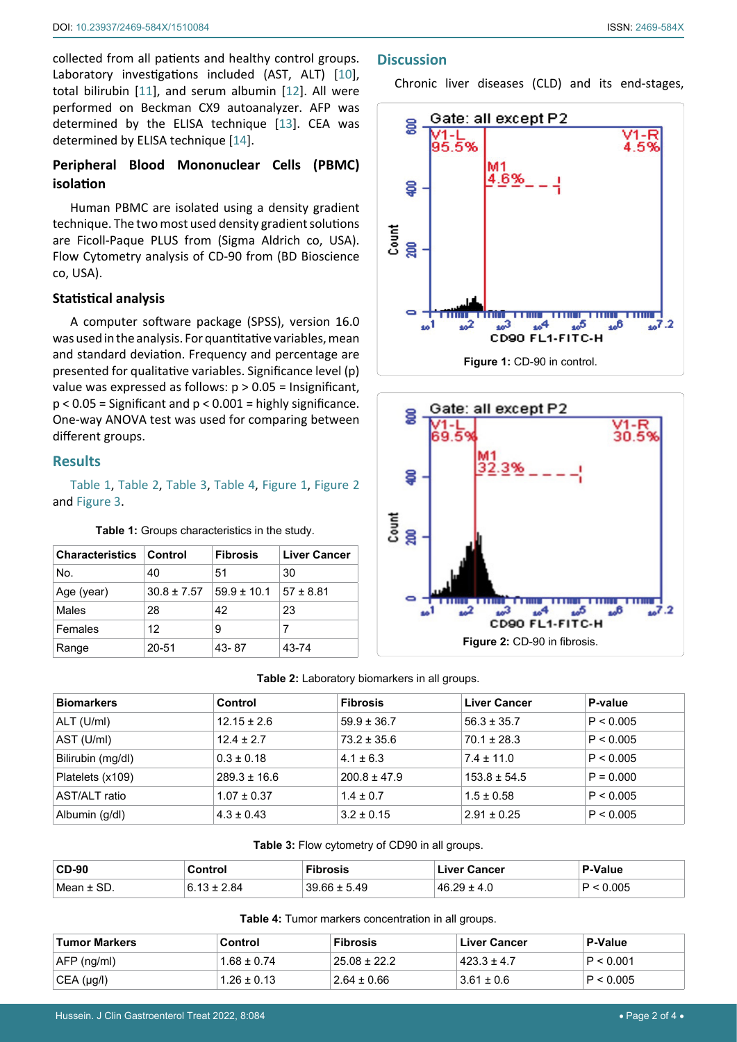collected from all patients and healthy control groups. Laboratory investigations included (AST, ALT) [[10](#page-3-5)], total bilirubin [[11](#page-3-6)], and serum albumin [[12](#page-3-7)]. All were performed on Beckman CX9 autoanalyzer. AFP was determined by the ELISA technique [[13](#page-3-8)]. CEA was determined by ELISA technique [[14](#page-3-9)].

# **Peripheral Blood Mononuclear Cells (PBMC) isolation**

Human PBMC are isolated using a density gradient technique. The two most used density gradient solutions are Ficoll-Paque PLUS from (Sigma Aldrich co, USA). Flow Cytometry analysis of CD-90 from (BD Bioscience co, USA).

## **Statistical analysis**

A computer software package (SPSS), version 16.0 was used in the analysis. For quantitative variables, mean and standard deviation. Frequency and percentage are presented for qualitative variables. Significance level (p) value was expressed as follows: p > 0.05 = Insignificant,  $p < 0.05$  = Significant and  $p < 0.001$  = highly significance. One-way ANOVA test was used for comparing between different groups.

## **Results**

[Table 1](#page-1-0), [Table 2](#page-1-1), [Table 3](#page-1-2), [Table 4](#page-1-3), [Figure 1](#page-1-4), [Figure 2](#page-1-5) and [Figure 3](#page-2-1).

<span id="page-1-0"></span>**Table 1:** Groups characteristics in the study.

| <b>Characteristics   Control</b> |                 | <b>Fibrosis</b>  | <b>Liver Cancer</b> |
|----------------------------------|-----------------|------------------|---------------------|
| No.                              | 40              | 51               | 30                  |
| Age (year)                       | $30.8 \pm 7.57$ | $159.9 \pm 10.1$ | $157 \pm 8.81$      |
| Males                            | 28              | 42               | 23                  |
| Females                          | 12              | 9                | 7                   |
| Range                            | 20-51           | 43-87            | 43-74               |

## **Discussion**

Chronic liver diseases (CLD) and its end-stages,

<span id="page-1-4"></span>

<span id="page-1-5"></span>

#### <span id="page-1-1"></span>**Table 2:** Laboratory biomarkers in all groups.

| <b>Biomarkers</b> | Control          | <b>Fibrosis</b>  | Liver Cancer     | P-value     |
|-------------------|------------------|------------------|------------------|-------------|
| ALT (U/ml)        | $12.15 \pm 2.6$  | $59.9 \pm 36.7$  | $56.3 \pm 35.7$  | P < 0.005   |
| AST (U/ml)        | $12.4 \pm 2.7$   | $73.2 \pm 35.6$  | $70.1 \pm 28.3$  | P < 0.005   |
| Bilirubin (mg/dl) | $0.3 \pm 0.18$   | $4.1 \pm 6.3$    | $7.4 \pm 11.0$   | P < 0.005   |
| Platelets (x109)  | $289.3 \pm 16.6$ | $200.8 \pm 47.9$ | $153.8 \pm 54.5$ | $P = 0.000$ |
| AST/ALT ratio     | $1.07 \pm 0.37$  | $1.4 \pm 0.7$    | $1.5 \pm 0.58$   | P < 0.005   |
| Albumin (g/dl)    | $4.3 \pm 0.43$   | $3.2 \pm 0.15$   | $2.91 \pm 0.25$  | P < 0.005   |

#### <span id="page-1-2"></span>**Table 3:** Flow cytometry of CD90 in all groups.

| $CD-90$     | Control | <b>Fibrosis</b>  | Liver Cancer | '-Value |
|-------------|---------|------------------|--------------|---------|
| SD.<br>Mean | xд      | $39.66 \pm 5.49$ | $46.29 -$    | 005     |

<span id="page-1-3"></span>**Table 4:** Tumor markers concentration in all groups.

| Tumor Markers | Control         | <b>Fibrosis</b>  | <b>Liver Cancer</b> | <b>P-Value</b> |
|---------------|-----------------|------------------|---------------------|----------------|
| $AFP$ (ng/ml) | $1.68 \pm 0.74$ | $25.08 \pm 22.2$ | $423.3 \pm 4.7$     | P < 0.001      |
| CEA (µq/l)    | $1.26 \pm 0.13$ | $2.64 \pm 0.66$  | $3.61 \pm 0.6$      | P < 0.005      |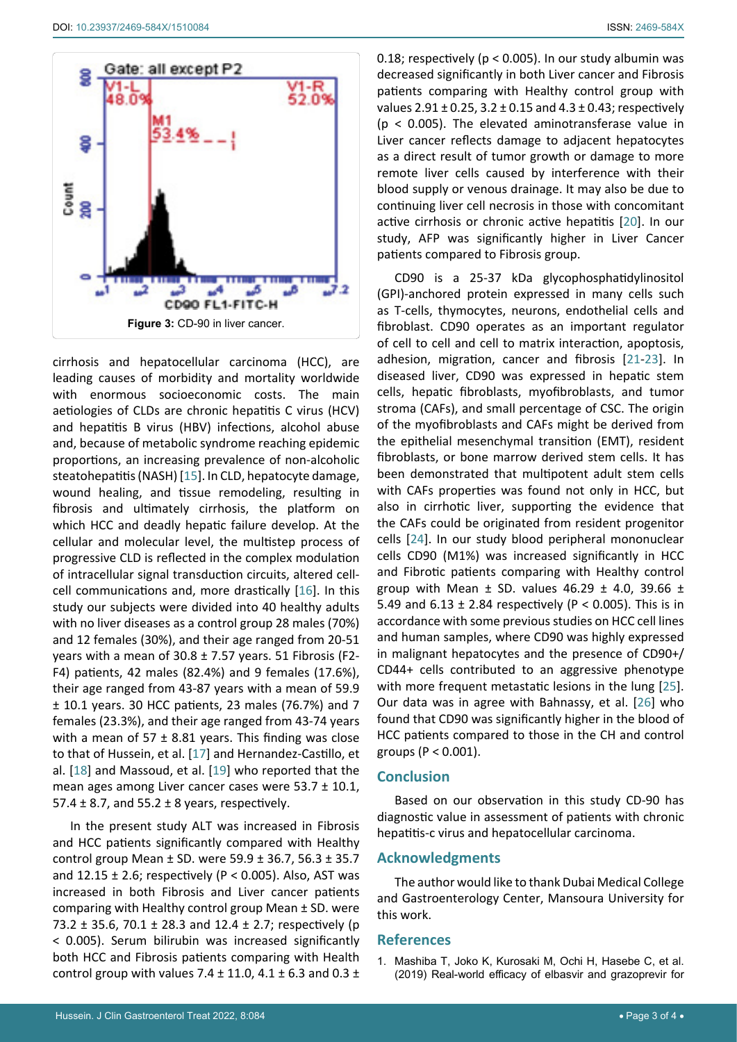<span id="page-2-1"></span>

cirrhosis and hepatocellular carcinoma (HCC), are leading causes of morbidity and mortality worldwide with enormous socioeconomic costs. The main aetiologies of CLDs are chronic hepatitis C virus (HCV) and hepatitis B virus (HBV) infections, alcohol abuse and, because of metabolic syndrome reaching epidemic proportions, an increasing prevalence of non-alcoholic steatohepatitis (NASH) [[15](#page-3-16)]. In CLD, hepatocyte damage, wound healing, and tissue remodeling, resulting in fibrosis and ultimately cirrhosis, the platform on which HCC and deadly hepatic failure develop. At the cellular and molecular level, the multistep process of progressive CLD is reflected in the complex modulation of intracellular signal transduction circuits, altered cellcell communications and, more drastically [[16](#page-3-17)]. In this study our subjects were divided into 40 healthy adults with no liver diseases as a control group 28 males (70%) and 12 females (30%), and their age ranged from 20-51 years with a mean of 30.8 ± 7.57 years. 51 Fibrosis (F2- F4) patients, 42 males (82.4%) and 9 females (17.6%), their age ranged from 43-87 years with a mean of 59.9 ± 10.1 years. 30 HCC patients, 23 males (76.7%) and 7 females (23.3%), and their age ranged from 43-74 years with a mean of 57  $\pm$  8.81 years. This finding was close to that of Hussein, et al. [[17](#page-3-18)] and Hernandez-Castillo, et al. [[18](#page-3-19)] and Massoud, et al. [[19](#page-3-20)] who reported that the mean ages among Liver cancer cases were 53.7 ± 10.1, 57.4  $\pm$  8.7, and 55.2  $\pm$  8 years, respectively.

In the present study ALT was increased in Fibrosis and HCC patients significantly compared with Healthy control group Mean ± SD. were 59.9 ± 36.7, 56.3 ± 35.7 and  $12.15 \pm 2.6$ ; respectively (P < 0.005). Also, AST was increased in both Fibrosis and Liver cancer patients comparing with Healthy control group Mean ± SD. were 73.2 ± 35.6, 70.1 ± 28.3 and 12.4 ± 2.7; respectively (p < 0.005). Serum bilirubin was increased significantly both HCC and Fibrosis patients comparing with Health control group with values 7.4  $\pm$  11.0, 4.1  $\pm$  6.3 and 0.3  $\pm$ 

0.18; respectively (p < 0.005). In our study albumin was decreased significantly in both Liver cancer and Fibrosis patients comparing with Healthy control group with values  $2.91 \pm 0.25$ ,  $3.2 \pm 0.15$  and  $4.3 \pm 0.43$ ; respectively (p < 0.005). The elevated aminotransferase value in Liver cancer reflects damage to adjacent hepatocytes as a direct result of tumor growth or damage to more remote liver cells caused by interference with their blood supply or venous drainage. It may also be due to continuing liver cell necrosis in those with concomitant active cirrhosis or chronic active hepatitis [[20](#page-3-10)]. In our study, AFP was significantly higher in Liver Cancer patients compared to Fibrosis group.

CD90 is a 25-37 kDa glycophosphatidylinositol (GPI)-anchored protein expressed in many cells such as T-cells, thymocytes, neurons, endothelial cells and fibroblast. CD90 operates as an important regulator of cell to cell and cell to matrix interaction, apoptosis, adhesion, migration, cancer and fibrosis [[21-](#page-3-11)[23](#page-3-12)]. In diseased liver, CD90 was expressed in hepatic stem cells, hepatic fibroblasts, myofibroblasts, and tumor stroma (CAFs), and small percentage of CSC. The origin of the myofibroblasts and CAFs might be derived from the epithelial mesenchymal transition (EMT), resident fibroblasts, or bone marrow derived stem cells. It has been demonstrated that multipotent adult stem cells with CAFs properties was found not only in HCC, but also in cirrhotic liver, supporting the evidence that the CAFs could be originated from resident progenitor cells [[24](#page-3-13)]. In our study blood peripheral mononuclear cells CD90 (M1%) was increased significantly in HCC and Fibrotic patients comparing with Healthy control group with Mean  $\pm$  SD. values 46.29  $\pm$  4.0, 39.66  $\pm$ 5.49 and  $6.13 \pm 2.84$  respectively (P < 0.005). This is in accordance with some previous studies on HCC cell lines and human samples, where CD90 was highly expressed in malignant hepatocytes and the presence of CD90+/ CD44+ cells contributed to an aggressive phenotype with more frequent metastatic lesions in the lung [[25\]](#page-3-14). Our data was in agree with Bahnassy, et al. [[26](#page-3-15)] who found that CD90 was significantly higher in the blood of HCC patients compared to those in the CH and control groups (P < 0.001).

## **Conclusion**

Based on our observation in this study CD-90 has diagnostic value in assessment of patients with chronic hepatitis-c virus and hepatocellular carcinoma.

#### **Acknowledgments**

The author would like to thank Dubai Medical College and Gastroenterology Center, Mansoura University for this work.

#### **References**

<span id="page-2-0"></span>1. [Mashiba T, Joko K, Kurosaki M, Ochi H, Hasebe C, et al.](https://www.ncbi.nlm.nih.gov/pmc/articles/PMC6899599/)  [\(2019\) Real-world efficacy of elbasvir and grazoprevir for](https://www.ncbi.nlm.nih.gov/pmc/articles/PMC6899599/)